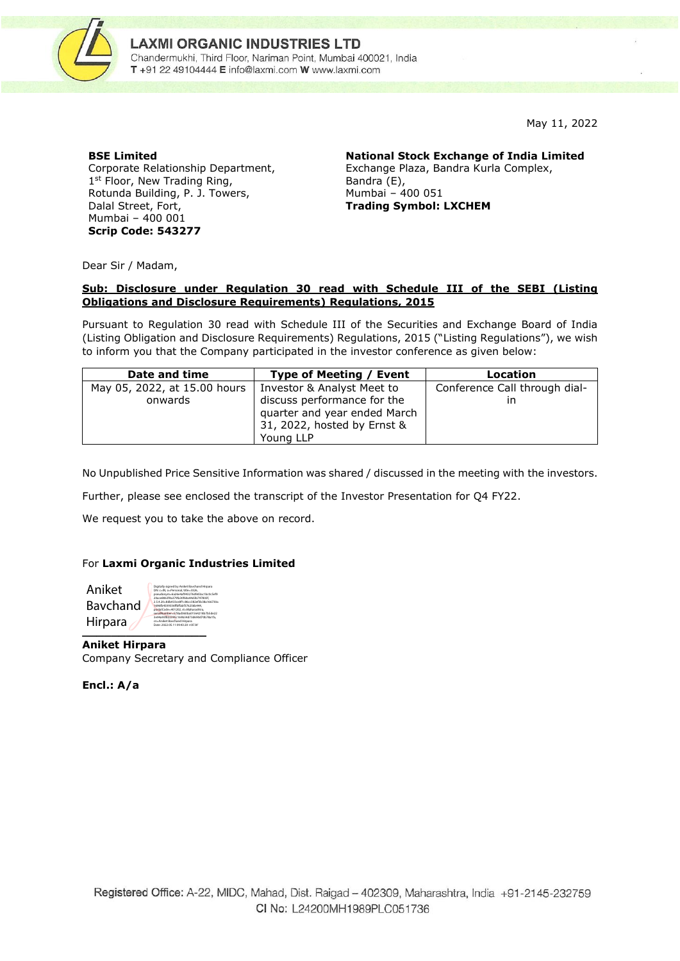

May 11, 2022

#### **BSE Limited**

Corporate Relationship Department, 1<sup>st</sup> Floor, New Trading Ring, Rotunda Building, P. J. Towers, Dalal Street, Fort, Mumbai – 400 001 **Scrip Code: 543277**

**National Stock Exchange of India Limited** Exchange Plaza, Bandra Kurla Complex, Bandra (E), Mumbai – 400 051 **Trading Symbol: LXCHEM**

Dear Sir / Madam,

### **Sub: Disclosure under Regulation 30 read with Schedule III of the SEBI (Listing Obligations and Disclosure Requirements) Regulations, 2015**

Pursuant to Regulation 30 read with Schedule III of the Securities and Exchange Board of India (Listing Obligation and Disclosure Requirements) Regulations, 2015 ("Listing Regulations"), we wish to inform you that the Company participated in the investor conference as given below:

| Date and time                | Type of Meeting / Event                                                                                 | Location                      |
|------------------------------|---------------------------------------------------------------------------------------------------------|-------------------------------|
| May 05, 2022, at 15.00 hours | Investor & Analyst Meet to                                                                              | Conference Call through dial- |
| onwards                      | discuss performance for the<br>quarter and year ended March<br>31, 2022, hosted by Ernst &<br>Young LLP | ın                            |

No Unpublished Price Sensitive Information was shared / discussed in the meeting with the investors.

Further, please see enclosed the transcript of the Investor Presentation for Q4 FY22.

We request you to take the above on record.

### For **Laxmi Organic Industries Limited**

| Aniket   | Digitally signed by Aniket Bavchand Hirpara<br>DN: c=IN, o=Personal, title=3326.<br>pseudonym=6a26e4af943276d9d3ac1bc0c5ef9                                                                            |
|----------|--------------------------------------------------------------------------------------------------------------------------------------------------------------------------------------------------------|
| Baychand | 20ace8063f4a379fa30f60a44d3b797803f.<br>2.5.4.20-8db433ce8f1c86cc382ef3b38a166730a<br>1696fb4509336ffbffabf376256b444.<br>postalCode-401202.st-Maharashtra.<br>serialNumber=578ad360ba01564218b7b5de22 |
| Hirpara  | 3e94a93f822395c169b34d73d690d70b78a1fa.<br>cn-Aniket Baychand Hirpara<br>Date: 2022.05.11 09:43:20 +05'30'                                                                                             |
|          |                                                                                                                                                                                                        |

**Aniket Hirpara** Company Secretary and Compliance Officer

**Encl.: A/a**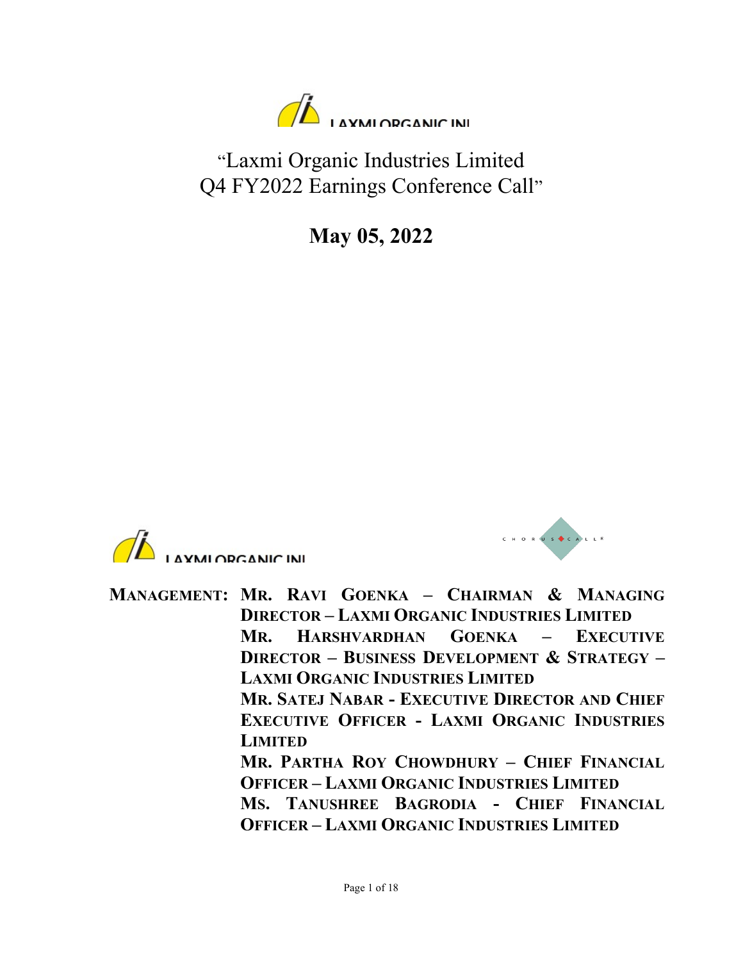

"Laxmi Organic Industries Limited Q4 FY2022 Earnings Conference Call"

May 05, 2022





MANAGEMENT: MR. RAVI GOENKA – CHAIRMAN & MANAGING DIRECTOR – LAXMI ORGANIC INDUSTRIES LIMITED MR. HARSHVARDHAN GOENKA – EXECUTIVE DIRECTOR – BUSINESS DEVELOPMENT & STRATEGY – LAXMI ORGANIC INDUSTRIES LIMITED MR. SATEJ NABAR - EXECUTIVE DIRECTOR AND CHIEF EXECUTIVE OFFICER - LAXMI ORGANIC INDUSTRIES LIMITED MR. PARTHA ROY CHOWDHURY – CHIEF FINANCIAL OFFICER – LAXMI ORGANIC INDUSTRIES LIMITED MS. TANUSHREE BAGRODIA - CHIEF FINANCIAL OFFICER – LAXMI ORGANIC INDUSTRIES LIMITED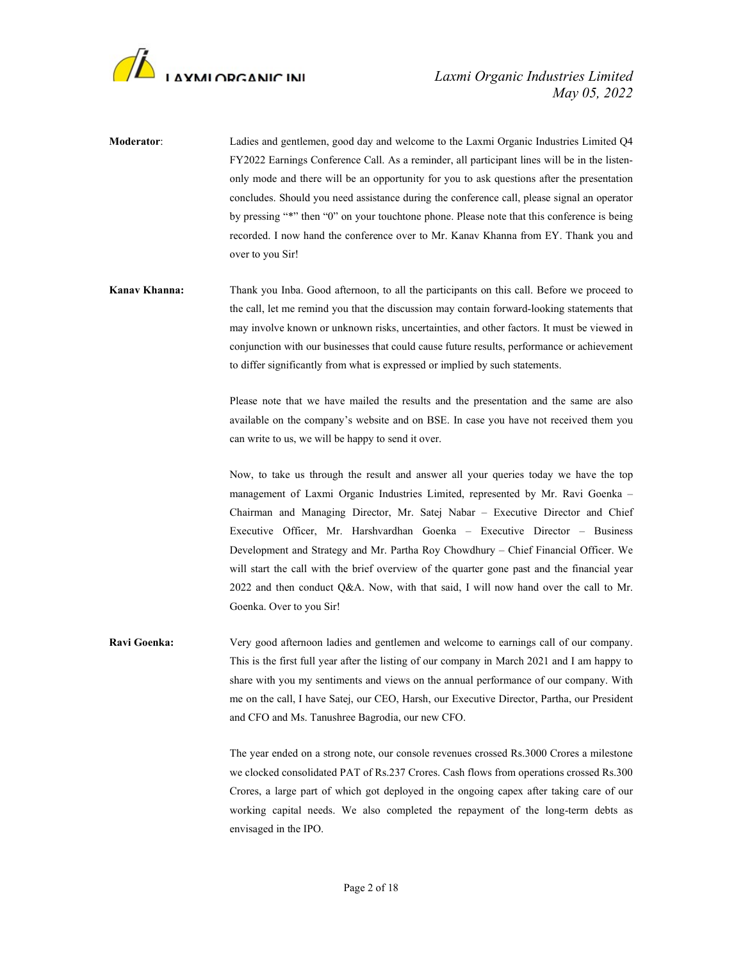

- Moderator: Ladies and gentlemen, good day and welcome to the Laxmi Organic Industries Limited Q4 FY2022 Earnings Conference Call. As a reminder, all participant lines will be in the listenonly mode and there will be an opportunity for you to ask questions after the presentation concludes. Should you need assistance during the conference call, please signal an operator by pressing "\*" then "0" on your touchtone phone. Please note that this conference is being recorded. I now hand the conference over to Mr. Kanav Khanna from EY. Thank you and over to you Sir!
- Kanav Khanna: Thank you Inba. Good afternoon, to all the participants on this call. Before we proceed to the call, let me remind you that the discussion may contain forward-looking statements that may involve known or unknown risks, uncertainties, and other factors. It must be viewed in conjunction with our businesses that could cause future results, performance or achievement to differ significantly from what is expressed or implied by such statements.

Please note that we have mailed the results and the presentation and the same are also available on the company's website and on BSE. In case you have not received them you can write to us, we will be happy to send it over.

 Now, to take us through the result and answer all your queries today we have the top management of Laxmi Organic Industries Limited, represented by Mr. Ravi Goenka – Chairman and Managing Director, Mr. Satej Nabar – Executive Director and Chief Executive Officer, Mr. Harshvardhan Goenka – Executive Director – Business Development and Strategy and Mr. Partha Roy Chowdhury – Chief Financial Officer. We will start the call with the brief overview of the quarter gone past and the financial year 2022 and then conduct Q&A. Now, with that said, I will now hand over the call to Mr. Goenka. Over to you Sir!

Ravi Goenka: Very good afternoon ladies and gentlemen and welcome to earnings call of our company. This is the first full year after the listing of our company in March 2021 and I am happy to share with you my sentiments and views on the annual performance of our company. With me on the call, I have Satej, our CEO, Harsh, our Executive Director, Partha, our President and CFO and Ms. Tanushree Bagrodia, our new CFO.

> The year ended on a strong note, our console revenues crossed Rs.3000 Crores a milestone we clocked consolidated PAT of Rs.237 Crores. Cash flows from operations crossed Rs.300 Crores, a large part of which got deployed in the ongoing capex after taking care of our working capital needs. We also completed the repayment of the long-term debts as envisaged in the IPO.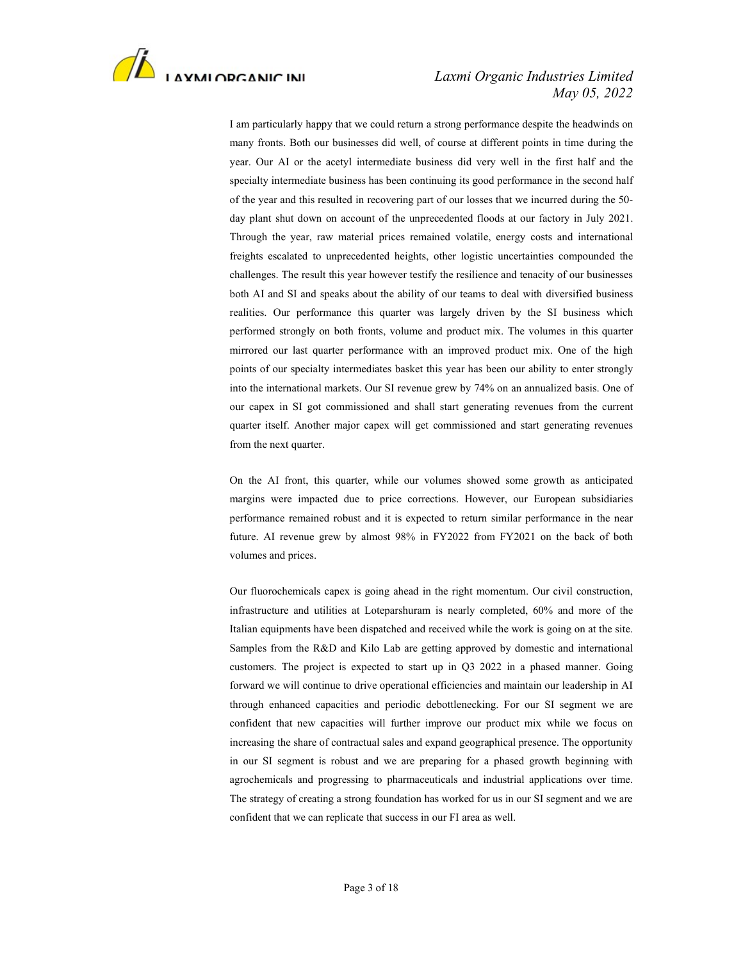

## May 05, 2022

 I am particularly happy that we could return a strong performance despite the headwinds on many fronts. Both our businesses did well, of course at different points in time during the year. Our AI or the acetyl intermediate business did very well in the first half and the specialty intermediate business has been continuing its good performance in the second half of the year and this resulted in recovering part of our losses that we incurred during the 50 day plant shut down on account of the unprecedented floods at our factory in July 2021. Through the year, raw material prices remained volatile, energy costs and international freights escalated to unprecedented heights, other logistic uncertainties compounded the challenges. The result this year however testify the resilience and tenacity of our businesses both AI and SI and speaks about the ability of our teams to deal with diversified business realities. Our performance this quarter was largely driven by the SI business which performed strongly on both fronts, volume and product mix. The volumes in this quarter mirrored our last quarter performance with an improved product mix. One of the high points of our specialty intermediates basket this year has been our ability to enter strongly into the international markets. Our SI revenue grew by 74% on an annualized basis. One of our capex in SI got commissioned and shall start generating revenues from the current quarter itself. Another major capex will get commissioned and start generating revenues from the next quarter.

 On the AI front, this quarter, while our volumes showed some growth as anticipated margins were impacted due to price corrections. However, our European subsidiaries performance remained robust and it is expected to return similar performance in the near future. AI revenue grew by almost 98% in FY2022 from FY2021 on the back of both volumes and prices.

 Our fluorochemicals capex is going ahead in the right momentum. Our civil construction, infrastructure and utilities at Loteparshuram is nearly completed, 60% and more of the Italian equipments have been dispatched and received while the work is going on at the site. Samples from the R&D and Kilo Lab are getting approved by domestic and international customers. The project is expected to start up in Q3 2022 in a phased manner. Going forward we will continue to drive operational efficiencies and maintain our leadership in AI through enhanced capacities and periodic debottlenecking. For our SI segment we are confident that new capacities will further improve our product mix while we focus on increasing the share of contractual sales and expand geographical presence. The opportunity in our SI segment is robust and we are preparing for a phased growth beginning with agrochemicals and progressing to pharmaceuticals and industrial applications over time. The strategy of creating a strong foundation has worked for us in our SI segment and we are confident that we can replicate that success in our FI area as well.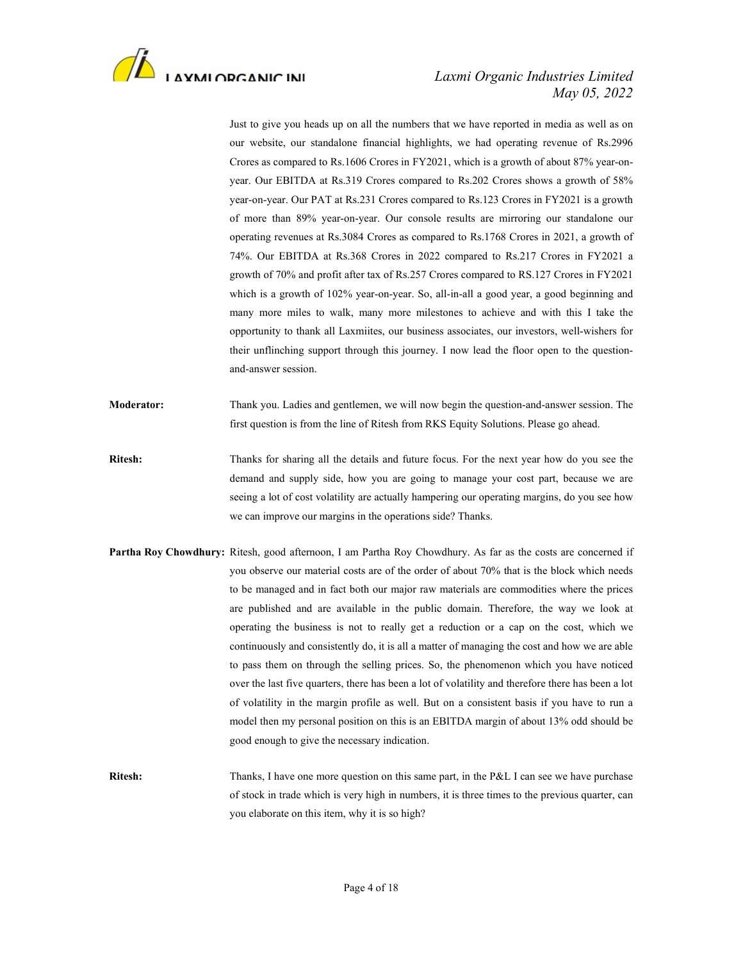

# May 05, 2022

 Just to give you heads up on all the numbers that we have reported in media as well as on our website, our standalone financial highlights, we had operating revenue of Rs.2996 Crores as compared to Rs.1606 Crores in FY2021, which is a growth of about 87% year-onyear. Our EBITDA at Rs.319 Crores compared to Rs.202 Crores shows a growth of 58% year-on-year. Our PAT at Rs.231 Crores compared to Rs.123 Crores in FY2021 is a growth of more than 89% year-on-year. Our console results are mirroring our standalone our operating revenues at Rs.3084 Crores as compared to Rs.1768 Crores in 2021, a growth of 74%. Our EBITDA at Rs.368 Crores in 2022 compared to Rs.217 Crores in FY2021 a growth of 70% and profit after tax of Rs.257 Crores compared to RS.127 Crores in FY2021 which is a growth of 102% year-on-year. So, all-in-all a good year, a good beginning and many more miles to walk, many more milestones to achieve and with this I take the opportunity to thank all Laxmiites, our business associates, our investors, well-wishers for their unflinching support through this journey. I now lead the floor open to the questionand-answer session.

Moderator: Thank you. Ladies and gentlemen, we will now begin the question-and-answer session. The first question is from the line of Ritesh from RKS Equity Solutions. Please go ahead.

- Ritesh: Thanks for sharing all the details and future focus. For the next year how do you see the demand and supply side, how you are going to manage your cost part, because we are seeing a lot of cost volatility are actually hampering our operating margins, do you see how we can improve our margins in the operations side? Thanks.
- Partha Roy Chowdhury: Ritesh, good afternoon, I am Partha Roy Chowdhury. As far as the costs are concerned if you observe our material costs are of the order of about 70% that is the block which needs to be managed and in fact both our major raw materials are commodities where the prices are published and are available in the public domain. Therefore, the way we look at operating the business is not to really get a reduction or a cap on the cost, which we continuously and consistently do, it is all a matter of managing the cost and how we are able to pass them on through the selling prices. So, the phenomenon which you have noticed over the last five quarters, there has been a lot of volatility and therefore there has been a lot of volatility in the margin profile as well. But on a consistent basis if you have to run a model then my personal position on this is an EBITDA margin of about 13% odd should be good enough to give the necessary indication.

Ritesh: Thanks, I have one more question on this same part, in the P&L I can see we have purchase of stock in trade which is very high in numbers, it is three times to the previous quarter, can you elaborate on this item, why it is so high?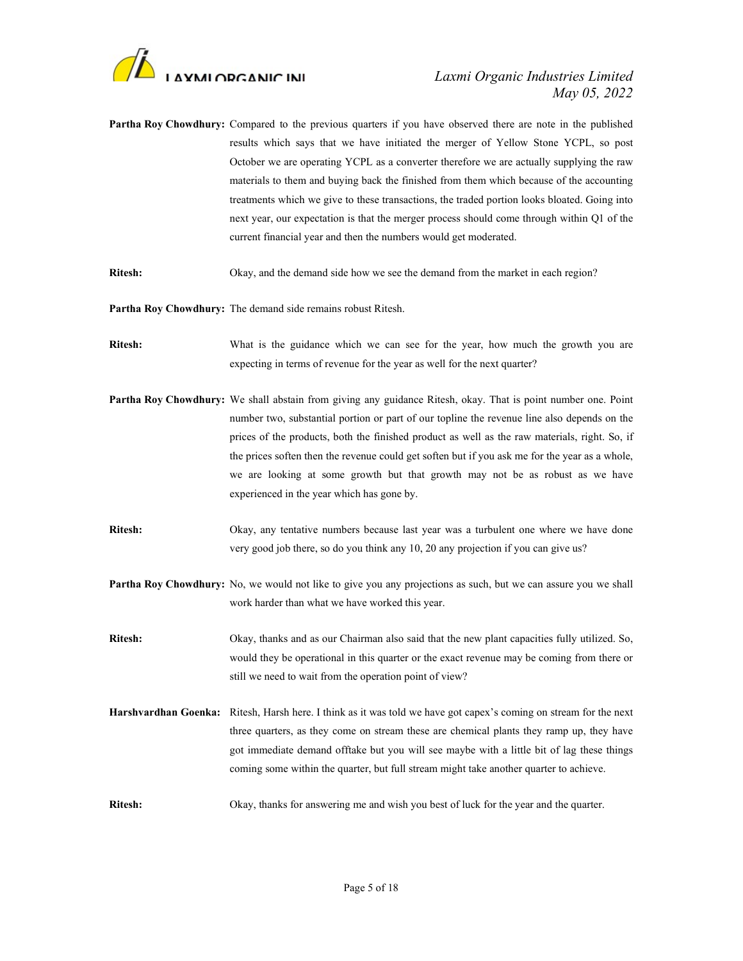

- Partha Roy Chowdhury: Compared to the previous quarters if you have observed there are note in the published results which says that we have initiated the merger of Yellow Stone YCPL, so post October we are operating YCPL as a converter therefore we are actually supplying the raw materials to them and buying back the finished from them which because of the accounting treatments which we give to these transactions, the traded portion looks bloated. Going into next year, our expectation is that the merger process should come through within Q1 of the current financial year and then the numbers would get moderated.
- Ritesh: Okay, and the demand side how we see the demand from the market in each region?

Partha Roy Chowdhury: The demand side remains robust Ritesh.

- Ritesh: What is the guidance which we can see for the year, how much the growth you are expecting in terms of revenue for the year as well for the next quarter?
- Partha Roy Chowdhury: We shall abstain from giving any guidance Ritesh, okay. That is point number one. Point number two, substantial portion or part of our topline the revenue line also depends on the prices of the products, both the finished product as well as the raw materials, right. So, if the prices soften then the revenue could get soften but if you ask me for the year as a whole, we are looking at some growth but that growth may not be as robust as we have experienced in the year which has gone by.
- Ritesh: Okay, any tentative numbers because last year was a turbulent one where we have done very good job there, so do you think any 10, 20 any projection if you can give us?
- Partha Roy Chowdhury: No, we would not like to give you any projections as such, but we can assure you we shall work harder than what we have worked this year.
- Ritesh: Okay, thanks and as our Chairman also said that the new plant capacities fully utilized. So, would they be operational in this quarter or the exact revenue may be coming from there or still we need to wait from the operation point of view?
- Harshvardhan Goenka: Ritesh, Harsh here. I think as it was told we have got capex's coming on stream for the next three quarters, as they come on stream these are chemical plants they ramp up, they have got immediate demand offtake but you will see maybe with a little bit of lag these things coming some within the quarter, but full stream might take another quarter to achieve.
- Ritesh: Okay, thanks for answering me and wish you best of luck for the year and the quarter.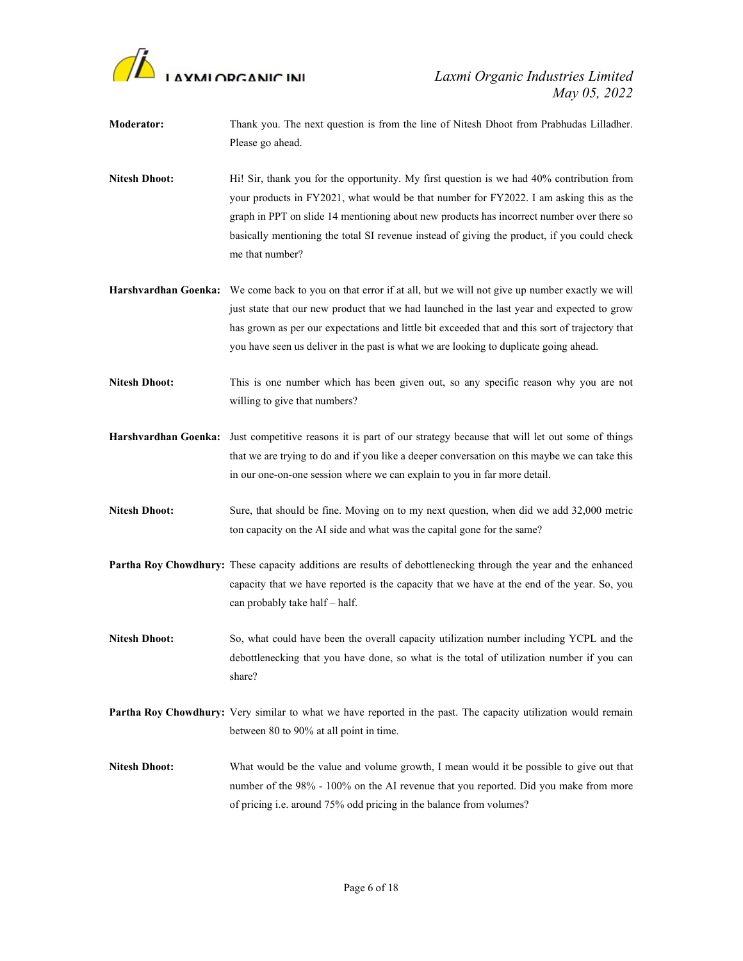

- Moderator: Thank you. The next question is from the line of Nitesh Dhoot from Prabhudas Lilladher. Please go ahead.
- Nitesh Dhoot: Hi! Sir, thank you for the opportunity. My first question is we had 40% contribution from your products in FY2021, what would be that number for FY2022. I am asking this as the graph in PPT on slide 14 mentioning about new products has incorrect number over there so basically mentioning the total SI revenue instead of giving the product, if you could check me that number?
- Harshvardhan Goenka: We come back to you on that error if at all, but we will not give up number exactly we will just state that our new product that we had launched in the last year and expected to grow has grown as per our expectations and little bit exceeded that and this sort of trajectory that you have seen us deliver in the past is what we are looking to duplicate going ahead.
- Nitesh Dhoot: This is one number which has been given out, so any specific reason why you are not willing to give that numbers?
- Harshvardhan Goenka: Just competitive reasons it is part of our strategy because that will let out some of things that we are trying to do and if you like a deeper conversation on this maybe we can take this in our one-on-one session where we can explain to you in far more detail.
- Nitesh Dhoot: Sure, that should be fine. Moving on to my next question, when did we add 32,000 metric ton capacity on the AI side and what was the capital gone for the same?
- Partha Roy Chowdhury: These capacity additions are results of debottlenecking through the year and the enhanced capacity that we have reported is the capacity that we have at the end of the year. So, you can probably take half – half.
- Nitesh Dhoot: So, what could have been the overall capacity utilization number including YCPL and the debottlenecking that you have done, so what is the total of utilization number if you can share?
- Partha Roy Chowdhury: Very similar to what we have reported in the past. The capacity utilization would remain between 80 to 90% at all point in time.
- Nitesh Dhoot: What would be the value and volume growth, I mean would it be possible to give out that number of the 98% - 100% on the AI revenue that you reported. Did you make from more of pricing i.e. around 75% odd pricing in the balance from volumes?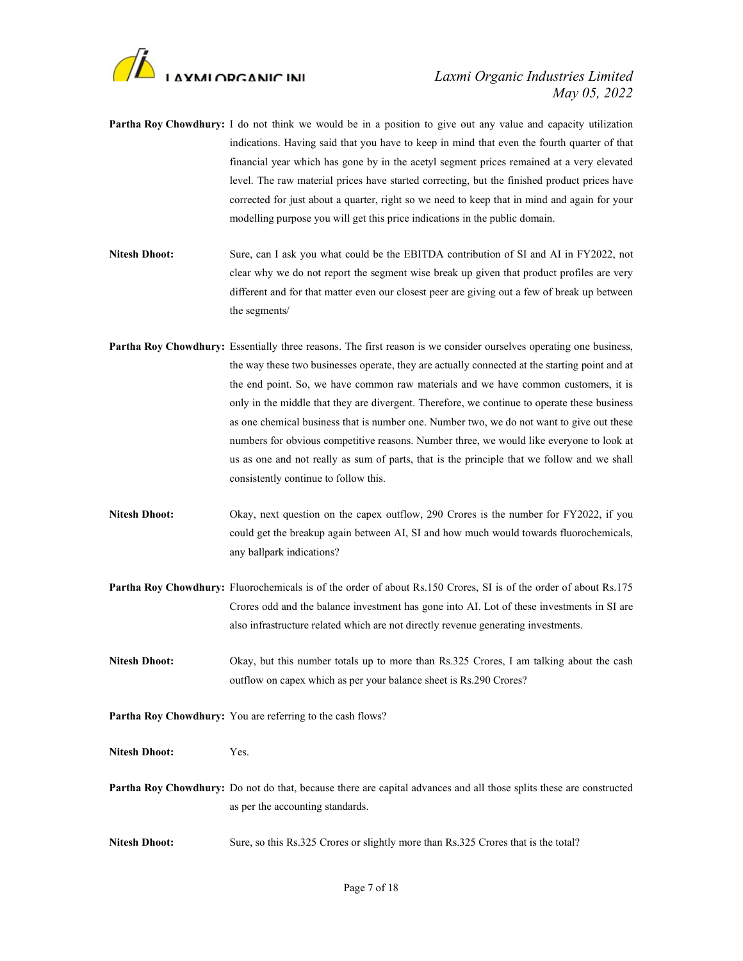

- Partha Roy Chowdhury: I do not think we would be in a position to give out any value and capacity utilization indications. Having said that you have to keep in mind that even the fourth quarter of that financial year which has gone by in the acetyl segment prices remained at a very elevated level. The raw material prices have started correcting, but the finished product prices have corrected for just about a quarter, right so we need to keep that in mind and again for your modelling purpose you will get this price indications in the public domain.
- Nitesh Dhoot: Sure, can I ask you what could be the EBITDA contribution of SI and AI in FY2022, not clear why we do not report the segment wise break up given that product profiles are very different and for that matter even our closest peer are giving out a few of break up between the segments/
- Partha Roy Chowdhury: Essentially three reasons. The first reason is we consider ourselves operating one business, the way these two businesses operate, they are actually connected at the starting point and at the end point. So, we have common raw materials and we have common customers, it is only in the middle that they are divergent. Therefore, we continue to operate these business as one chemical business that is number one. Number two, we do not want to give out these numbers for obvious competitive reasons. Number three, we would like everyone to look at us as one and not really as sum of parts, that is the principle that we follow and we shall consistently continue to follow this.
- Nitesh Dhoot: Okay, next question on the capex outflow, 290 Crores is the number for FY2022, if you could get the breakup again between AI, SI and how much would towards fluorochemicals, any ballpark indications?
- Partha Roy Chowdhury: Fluorochemicals is of the order of about Rs.150 Crores, SI is of the order of about Rs.175 Crores odd and the balance investment has gone into AI. Lot of these investments in SI are also infrastructure related which are not directly revenue generating investments.
- Nitesh Dhoot: Okay, but this number totals up to more than Rs.325 Crores, I am talking about the cash outflow on capex which as per your balance sheet is Rs.290 Crores?
- Partha Roy Chowdhury: You are referring to the cash flows?

Nitesh Dhoot: Yes.

Partha Roy Chowdhury: Do not do that, because there are capital advances and all those splits these are constructed as per the accounting standards.

Nitesh Dhoot: Sure, so this Rs.325 Crores or slightly more than Rs.325 Crores that is the total?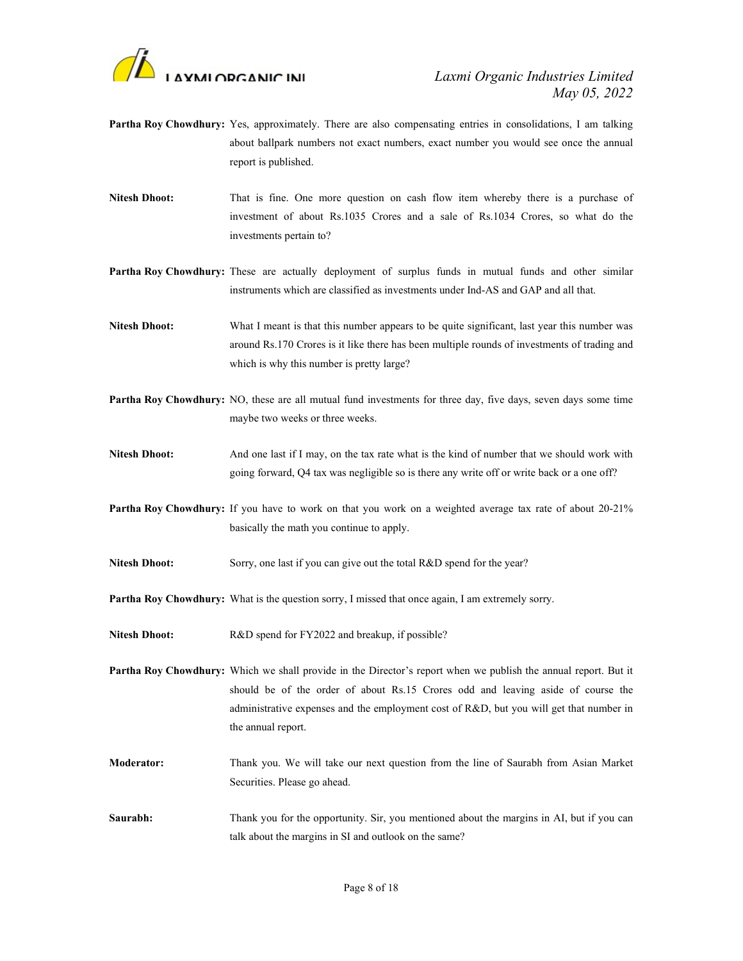

- Partha Roy Chowdhury: Yes, approximately. There are also compensating entries in consolidations, I am talking about ballpark numbers not exact numbers, exact number you would see once the annual report is published.
- Nitesh Dhoot: That is fine. One more question on cash flow item whereby there is a purchase of investment of about Rs.1035 Crores and a sale of Rs.1034 Crores, so what do the investments pertain to?
- Partha Roy Chowdhury: These are actually deployment of surplus funds in mutual funds and other similar instruments which are classified as investments under Ind-AS and GAP and all that.
- Nitesh Dhoot: What I meant is that this number appears to be quite significant, last year this number was around Rs.170 Crores is it like there has been multiple rounds of investments of trading and which is why this number is pretty large?
- Partha Roy Chowdhury: NO, these are all mutual fund investments for three day, five days, seven days some time maybe two weeks or three weeks.
- Nitesh Dhoot: And one last if I may, on the tax rate what is the kind of number that we should work with going forward, Q4 tax was negligible so is there any write off or write back or a one off?
- Partha Roy Chowdhury: If you have to work on that you work on a weighted average tax rate of about 20-21% basically the math you continue to apply.
- Nitesh Dhoot: Sorry, one last if you can give out the total R&D spend for the year?
- Partha Roy Chowdhury: What is the question sorry, I missed that once again, I am extremely sorry.
- Nitesh Dhoot: R&D spend for FY2022 and breakup, if possible?

Partha Roy Chowdhury: Which we shall provide in the Director's report when we publish the annual report. But it should be of the order of about Rs.15 Crores odd and leaving aside of course the administrative expenses and the employment cost of R&D, but you will get that number in the annual report.

- Moderator: Thank you. We will take our next question from the line of Saurabh from Asian Market Securities. Please go ahead.
- Saurabh: Thank you for the opportunity. Sir, you mentioned about the margins in AI, but if you can talk about the margins in SI and outlook on the same?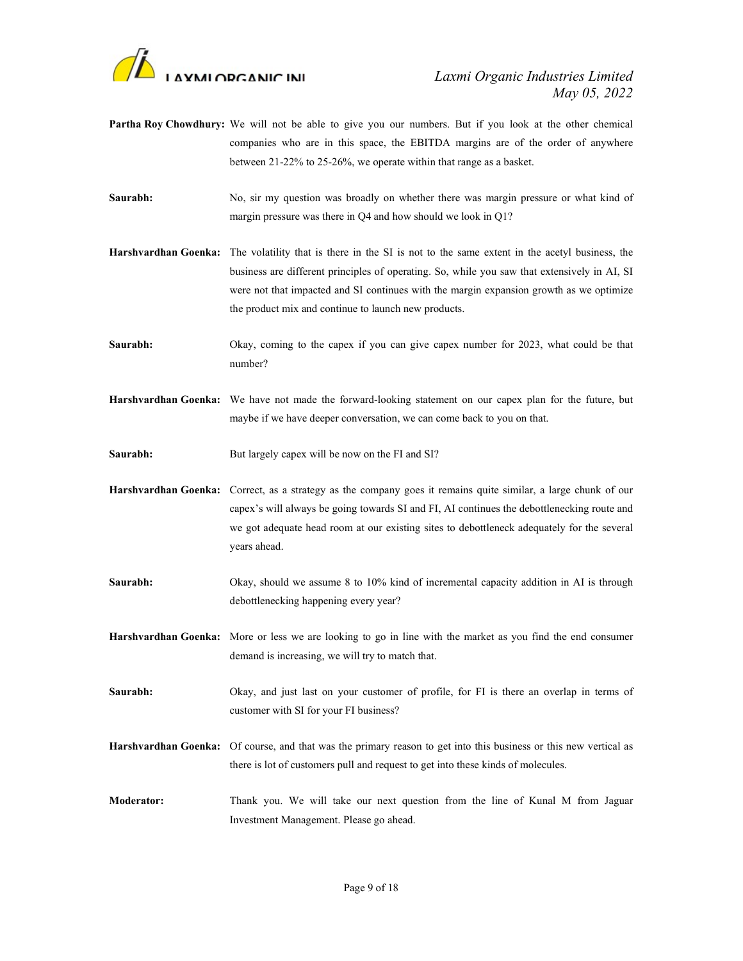

- Partha Roy Chowdhury: We will not be able to give you our numbers. But if you look at the other chemical companies who are in this space, the EBITDA margins are of the order of anywhere between 21-22% to 25-26%, we operate within that range as a basket.
- Saurabh: No, sir my question was broadly on whether there was margin pressure or what kind of margin pressure was there in Q4 and how should we look in Q1?
- Harshvardhan Goenka: The volatility that is there in the SI is not to the same extent in the acetyl business, the business are different principles of operating. So, while you saw that extensively in AI, SI were not that impacted and SI continues with the margin expansion growth as we optimize the product mix and continue to launch new products.
- Saurabh: Okay, coming to the capex if you can give capex number for 2023, what could be that number?
- Harshvardhan Goenka: We have not made the forward-looking statement on our capex plan for the future, but maybe if we have deeper conversation, we can come back to you on that.
- Saurabh: But largely capex will be now on the FI and SI?
- Harshvardhan Goenka: Correct, as a strategy as the company goes it remains quite similar, a large chunk of our capex's will always be going towards SI and FI, AI continues the debottlenecking route and we got adequate head room at our existing sites to debottleneck adequately for the several years ahead.
- Saurabh: Okay, should we assume 8 to 10% kind of incremental capacity addition in AI is through debottlenecking happening every year?
- Harshvardhan Goenka: More or less we are looking to go in line with the market as you find the end consumer demand is increasing, we will try to match that.
- Saurabh: Okay, and just last on your customer of profile, for FI is there an overlap in terms of customer with SI for your FI business?
- Harshvardhan Goenka: Of course, and that was the primary reason to get into this business or this new vertical as there is lot of customers pull and request to get into these kinds of molecules.
- Moderator: Thank you. We will take our next question from the line of Kunal M from Jaguar Investment Management. Please go ahead.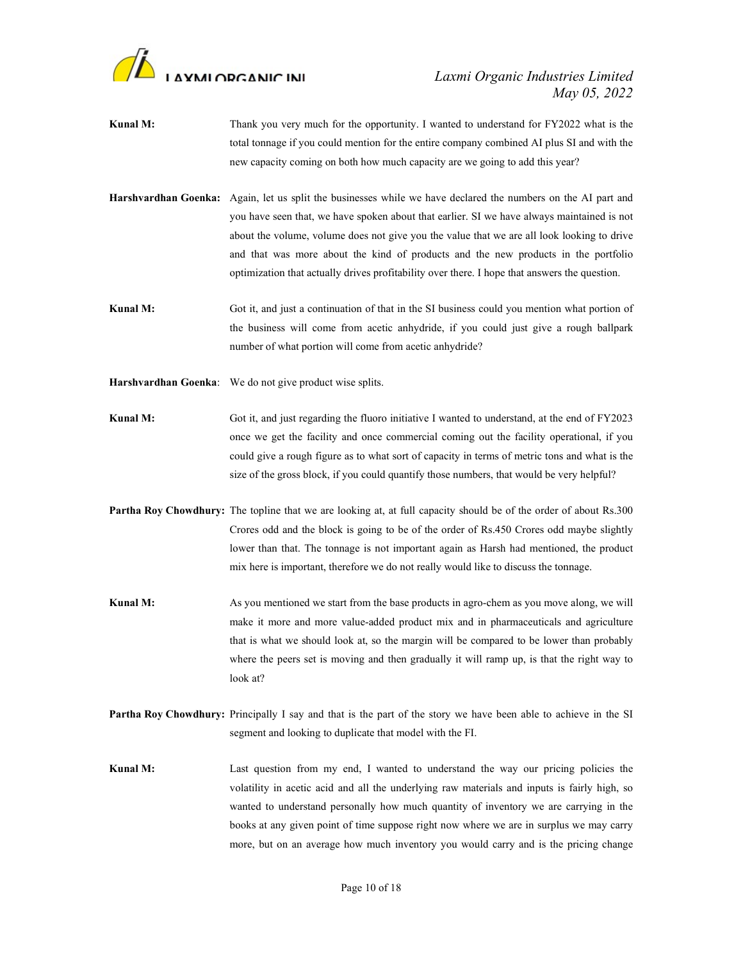

- Kunal M: Thank you very much for the opportunity. I wanted to understand for FY2022 what is the total tonnage if you could mention for the entire company combined AI plus SI and with the new capacity coming on both how much capacity are we going to add this year?
- Harshvardhan Goenka: Again, let us split the businesses while we have declared the numbers on the AI part and you have seen that, we have spoken about that earlier. SI we have always maintained is not about the volume, volume does not give you the value that we are all look looking to drive and that was more about the kind of products and the new products in the portfolio optimization that actually drives profitability over there. I hope that answers the question.
- Kunal M: Got it, and just a continuation of that in the SI business could you mention what portion of the business will come from acetic anhydride, if you could just give a rough ballpark number of what portion will come from acetic anhydride?
- Harshvardhan Goenka: We do not give product wise splits.
- Kunal M: Got it, and just regarding the fluoro initiative I wanted to understand, at the end of FY2023 once we get the facility and once commercial coming out the facility operational, if you could give a rough figure as to what sort of capacity in terms of metric tons and what is the size of the gross block, if you could quantify those numbers, that would be very helpful?
- Partha Roy Chowdhury: The topline that we are looking at, at full capacity should be of the order of about Rs.300 Crores odd and the block is going to be of the order of Rs.450 Crores odd maybe slightly lower than that. The tonnage is not important again as Harsh had mentioned, the product mix here is important, therefore we do not really would like to discuss the tonnage.
- Kunal M: As you mentioned we start from the base products in agro-chem as you move along, we will make it more and more value-added product mix and in pharmaceuticals and agriculture that is what we should look at, so the margin will be compared to be lower than probably where the peers set is moving and then gradually it will ramp up, is that the right way to look at?
- Partha Roy Chowdhury: Principally I say and that is the part of the story we have been able to achieve in the SI segment and looking to duplicate that model with the FI.
- Kunal M: Last question from my end, I wanted to understand the way our pricing policies the volatility in acetic acid and all the underlying raw materials and inputs is fairly high, so wanted to understand personally how much quantity of inventory we are carrying in the books at any given point of time suppose right now where we are in surplus we may carry more, but on an average how much inventory you would carry and is the pricing change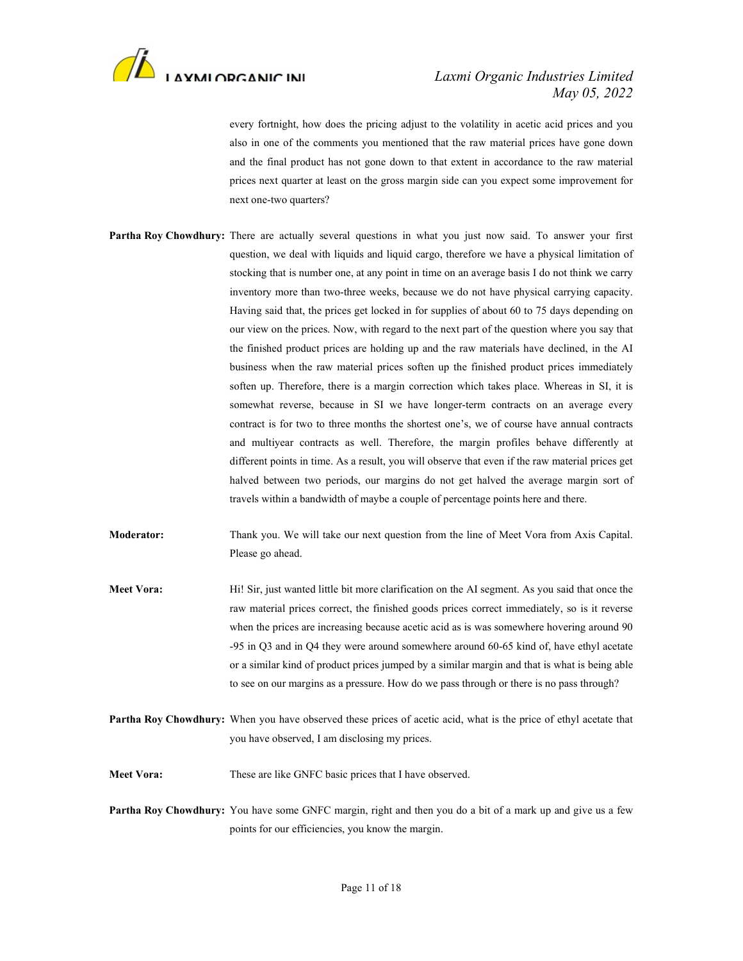

every fortnight, how does the pricing adjust to the volatility in acetic acid prices and you also in one of the comments you mentioned that the raw material prices have gone down and the final product has not gone down to that extent in accordance to the raw material prices next quarter at least on the gross margin side can you expect some improvement for next one-two quarters?

- Partha Roy Chowdhury: There are actually several questions in what you just now said. To answer your first question, we deal with liquids and liquid cargo, therefore we have a physical limitation of stocking that is number one, at any point in time on an average basis I do not think we carry inventory more than two-three weeks, because we do not have physical carrying capacity. Having said that, the prices get locked in for supplies of about 60 to 75 days depending on our view on the prices. Now, with regard to the next part of the question where you say that the finished product prices are holding up and the raw materials have declined, in the AI business when the raw material prices soften up the finished product prices immediately soften up. Therefore, there is a margin correction which takes place. Whereas in SI, it is somewhat reverse, because in SI we have longer-term contracts on an average every contract is for two to three months the shortest one's, we of course have annual contracts and multiyear contracts as well. Therefore, the margin profiles behave differently at different points in time. As a result, you will observe that even if the raw material prices get halved between two periods, our margins do not get halved the average margin sort of travels within a bandwidth of maybe a couple of percentage points here and there.
- Moderator: Thank you. We will take our next question from the line of Meet Vora from Axis Capital. Please go ahead.
- Meet Vora: Hi! Sir, just wanted little bit more clarification on the AI segment. As you said that once the raw material prices correct, the finished goods prices correct immediately, so is it reverse when the prices are increasing because acetic acid as is was somewhere hovering around 90 -95 in Q3 and in Q4 they were around somewhere around 60-65 kind of, have ethyl acetate or a similar kind of product prices jumped by a similar margin and that is what is being able to see on our margins as a pressure. How do we pass through or there is no pass through?
- Partha Roy Chowdhury: When you have observed these prices of acetic acid, what is the price of ethyl acetate that you have observed, I am disclosing my prices.

Meet Vora: These are like GNFC basic prices that I have observed.

Partha Roy Chowdhury: You have some GNFC margin, right and then you do a bit of a mark up and give us a few points for our efficiencies, you know the margin.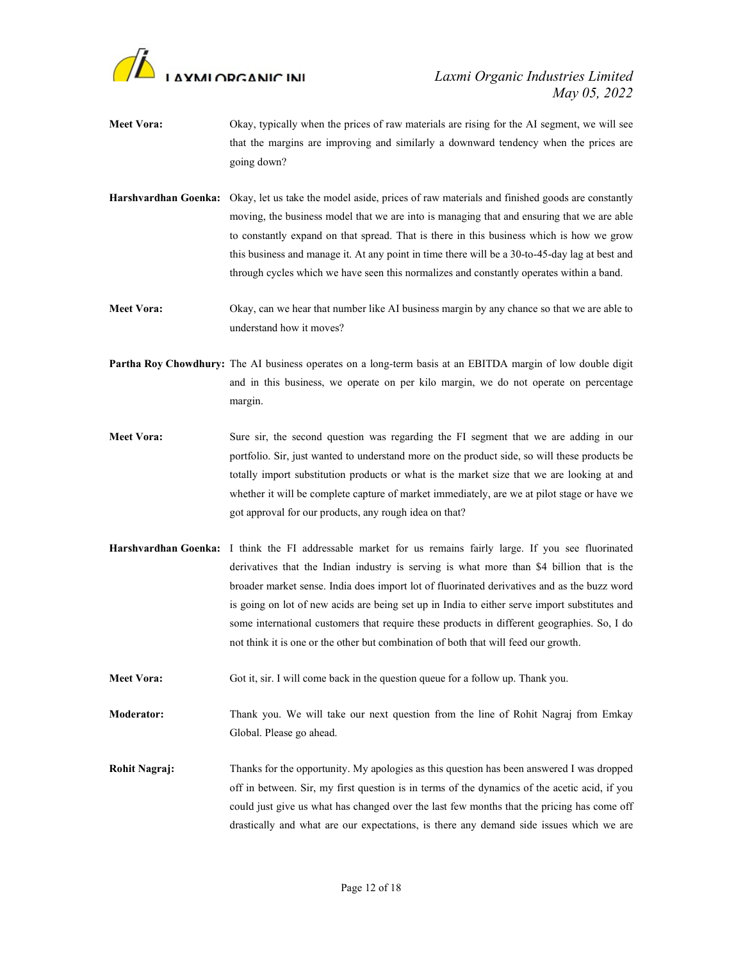

- Meet Vora: Okay, typically when the prices of raw materials are rising for the AI segment, we will see that the margins are improving and similarly a downward tendency when the prices are going down?
- Harshvardhan Goenka: Okay, let us take the model aside, prices of raw materials and finished goods are constantly moving, the business model that we are into is managing that and ensuring that we are able to constantly expand on that spread. That is there in this business which is how we grow this business and manage it. At any point in time there will be a 30-to-45-day lag at best and through cycles which we have seen this normalizes and constantly operates within a band.
- Meet Vora: Okay, can we hear that number like AI business margin by any chance so that we are able to understand how it moves?
- Partha Roy Chowdhury: The AI business operates on a long-term basis at an EBITDA margin of low double digit and in this business, we operate on per kilo margin, we do not operate on percentage margin.
- Meet Vora: Sure sir, the second question was regarding the FI segment that we are adding in our portfolio. Sir, just wanted to understand more on the product side, so will these products be totally import substitution products or what is the market size that we are looking at and whether it will be complete capture of market immediately, are we at pilot stage or have we got approval for our products, any rough idea on that?
- Harshvardhan Goenka: I think the FI addressable market for us remains fairly large. If you see fluorinated derivatives that the Indian industry is serving is what more than \$4 billion that is the broader market sense. India does import lot of fluorinated derivatives and as the buzz word is going on lot of new acids are being set up in India to either serve import substitutes and some international customers that require these products in different geographies. So, I do not think it is one or the other but combination of both that will feed our growth.
- Meet Vora: Got it, sir. I will come back in the question queue for a follow up. Thank you.
- Moderator: Thank you. We will take our next question from the line of Rohit Nagraj from Emkay Global. Please go ahead.
- Rohit Nagraj: Thanks for the opportunity. My apologies as this question has been answered I was dropped off in between. Sir, my first question is in terms of the dynamics of the acetic acid, if you could just give us what has changed over the last few months that the pricing has come off drastically and what are our expectations, is there any demand side issues which we are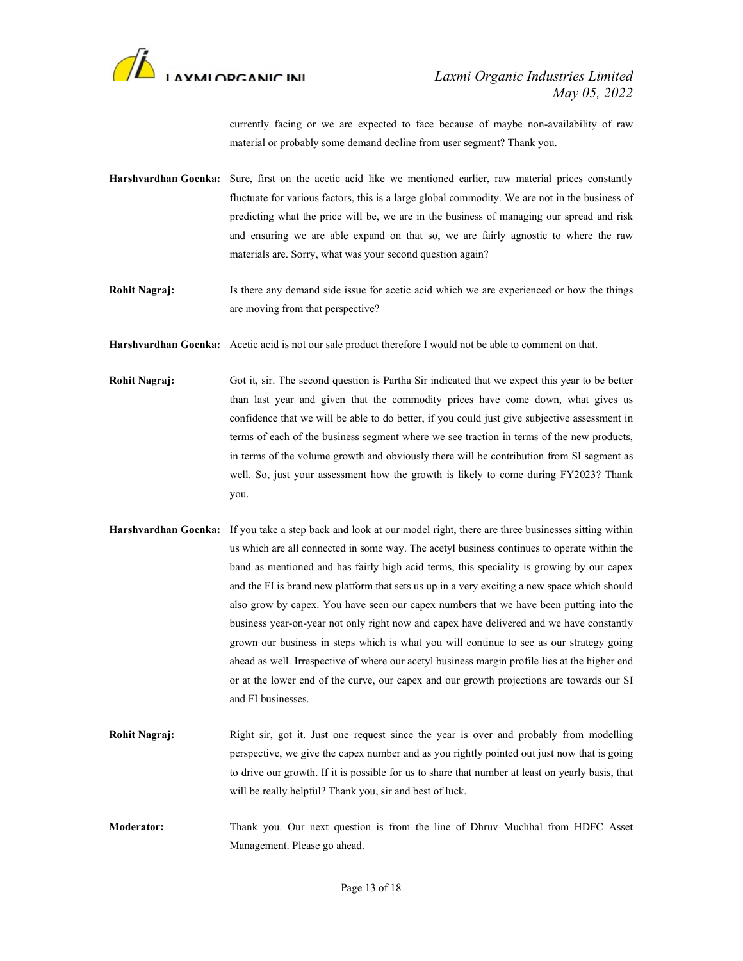

currently facing or we are expected to face because of maybe non-availability of raw material or probably some demand decline from user segment? Thank you.

- Harshvardhan Goenka: Sure, first on the acetic acid like we mentioned earlier, raw material prices constantly fluctuate for various factors, this is a large global commodity. We are not in the business of predicting what the price will be, we are in the business of managing our spread and risk and ensuring we are able expand on that so, we are fairly agnostic to where the raw materials are. Sorry, what was your second question again?
- Rohit Nagraj: Is there any demand side issue for acetic acid which we are experienced or how the things are moving from that perspective?
- Harshvardhan Goenka: Acetic acid is not our sale product therefore I would not be able to comment on that.
- Rohit Nagraj: Got it, sir. The second question is Partha Sir indicated that we expect this year to be better than last year and given that the commodity prices have come down, what gives us confidence that we will be able to do better, if you could just give subjective assessment in terms of each of the business segment where we see traction in terms of the new products, in terms of the volume growth and obviously there will be contribution from SI segment as well. So, just your assessment how the growth is likely to come during FY2023? Thank you.
- Harshvardhan Goenka: If you take a step back and look at our model right, there are three businesses sitting within us which are all connected in some way. The acetyl business continues to operate within the band as mentioned and has fairly high acid terms, this speciality is growing by our capex and the FI is brand new platform that sets us up in a very exciting a new space which should also grow by capex. You have seen our capex numbers that we have been putting into the business year-on-year not only right now and capex have delivered and we have constantly grown our business in steps which is what you will continue to see as our strategy going ahead as well. Irrespective of where our acetyl business margin profile lies at the higher end or at the lower end of the curve, our capex and our growth projections are towards our SI and FI businesses.
- Rohit Nagraj: Right sir, got it. Just one request since the year is over and probably from modelling perspective, we give the capex number and as you rightly pointed out just now that is going to drive our growth. If it is possible for us to share that number at least on yearly basis, that will be really helpful? Thank you, sir and best of luck.
- Moderator: Thank you. Our next question is from the line of Dhruv Muchhal from HDFC Asset Management. Please go ahead.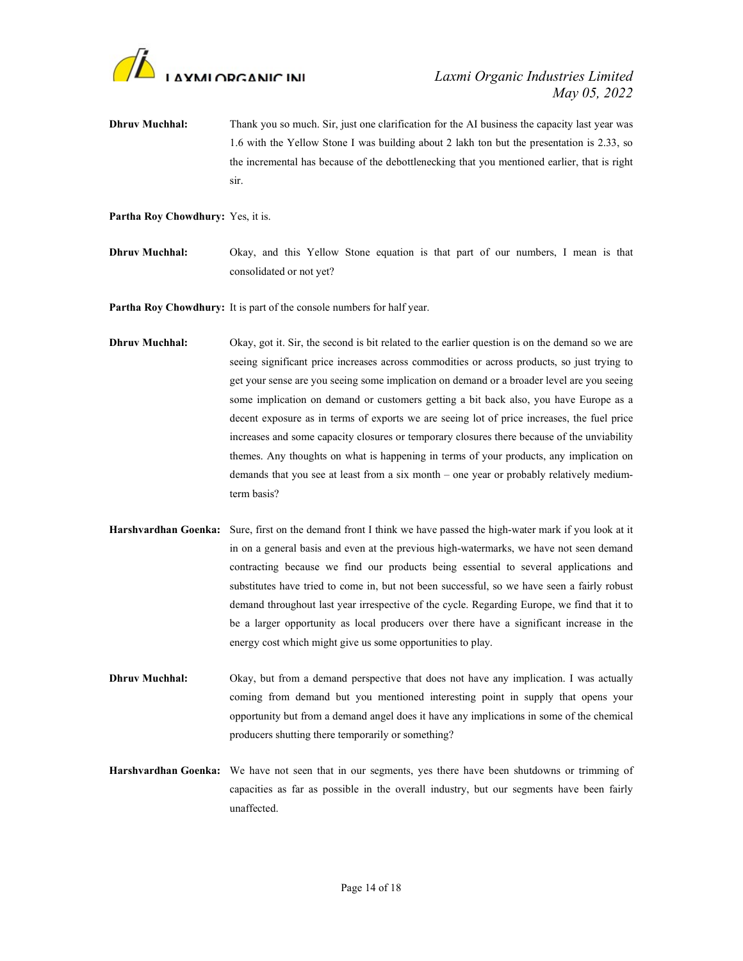

- **Dhruv Muchhal:** Thank you so much. Sir, just one clarification for the AI business the capacity last year was 1.6 with the Yellow Stone I was building about 2 lakh ton but the presentation is 2.33, so the incremental has because of the debottlenecking that you mentioned earlier, that is right sir.
- Partha Roy Chowdhury: Yes, it is.
- Dhruv Muchhal: Okay, and this Yellow Stone equation is that part of our numbers, I mean is that consolidated or not yet?

Partha Roy Chowdhury: It is part of the console numbers for half year.

- **Dhruv Muchhal:** Okay, got it. Sir, the second is bit related to the earlier question is on the demand so we are seeing significant price increases across commodities or across products, so just trying to get your sense are you seeing some implication on demand or a broader level are you seeing some implication on demand or customers getting a bit back also, you have Europe as a decent exposure as in terms of exports we are seeing lot of price increases, the fuel price increases and some capacity closures or temporary closures there because of the unviability themes. Any thoughts on what is happening in terms of your products, any implication on demands that you see at least from a six month – one year or probably relatively mediumterm basis?
- Harshvardhan Goenka: Sure, first on the demand front I think we have passed the high-water mark if you look at it in on a general basis and even at the previous high-watermarks, we have not seen demand contracting because we find our products being essential to several applications and substitutes have tried to come in, but not been successful, so we have seen a fairly robust demand throughout last year irrespective of the cycle. Regarding Europe, we find that it to be a larger opportunity as local producers over there have a significant increase in the energy cost which might give us some opportunities to play.
- **Dhruv Muchhal:** Okay, but from a demand perspective that does not have any implication. I was actually coming from demand but you mentioned interesting point in supply that opens your opportunity but from a demand angel does it have any implications in some of the chemical producers shutting there temporarily or something?
- Harshvardhan Goenka: We have not seen that in our segments, yes there have been shutdowns or trimming of capacities as far as possible in the overall industry, but our segments have been fairly unaffected.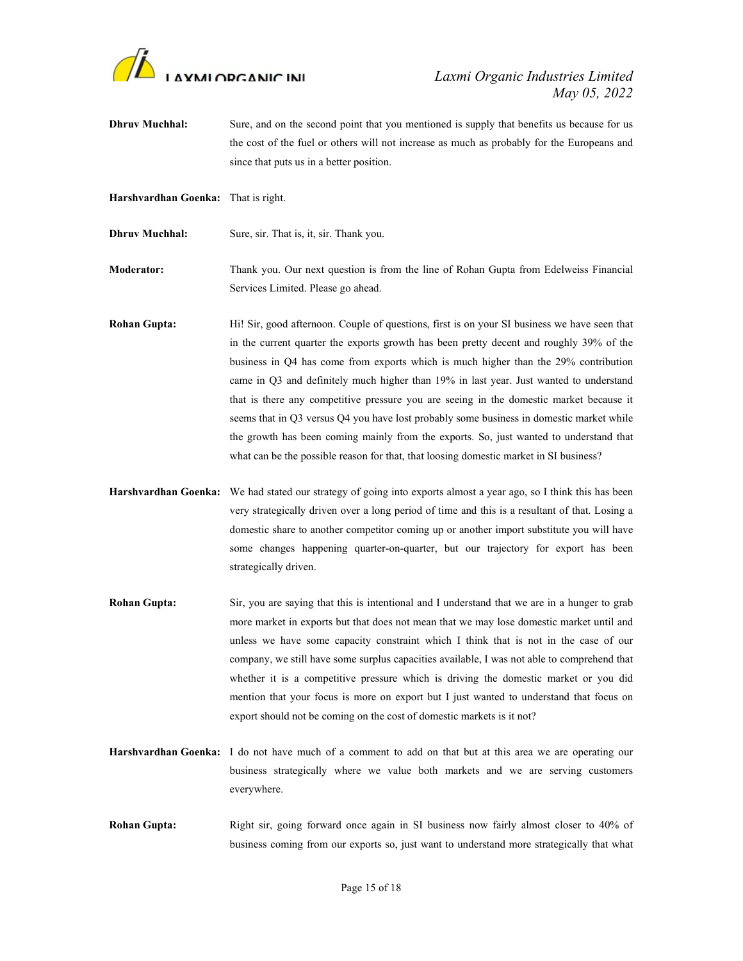

- **Dhruv Muchhal:** Sure, and on the second point that you mentioned is supply that benefits us because for us the cost of the fuel or others will not increase as much as probably for the Europeans and since that puts us in a better position.
- Harshvardhan Goenka: That is right.
- Dhruv Muchhal: Sure, sir. That is, it, sir. Thank you.

Moderator: Thank you. Our next question is from the line of Rohan Gupta from Edelweiss Financial Services Limited. Please go ahead.

- Rohan Gupta: Hi! Sir, good afternoon. Couple of questions, first is on your SI business we have seen that in the current quarter the exports growth has been pretty decent and roughly 39% of the business in Q4 has come from exports which is much higher than the 29% contribution came in Q3 and definitely much higher than 19% in last year. Just wanted to understand that is there any competitive pressure you are seeing in the domestic market because it seems that in Q3 versus Q4 you have lost probably some business in domestic market while the growth has been coming mainly from the exports. So, just wanted to understand that what can be the possible reason for that, that loosing domestic market in SI business?
- Harshvardhan Goenka: We had stated our strategy of going into exports almost a year ago, so I think this has been very strategically driven over a long period of time and this is a resultant of that. Losing a domestic share to another competitor coming up or another import substitute you will have some changes happening quarter-on-quarter, but our trajectory for export has been strategically driven.
- Rohan Gupta: Sir, you are saying that this is intentional and I understand that we are in a hunger to grab more market in exports but that does not mean that we may lose domestic market until and unless we have some capacity constraint which I think that is not in the case of our company, we still have some surplus capacities available, I was not able to comprehend that whether it is a competitive pressure which is driving the domestic market or you did mention that your focus is more on export but I just wanted to understand that focus on export should not be coming on the cost of domestic markets is it not?
- Harshvardhan Goenka: I do not have much of a comment to add on that but at this area we are operating our business strategically where we value both markets and we are serving customers everywhere.
- Rohan Gupta: Right sir, going forward once again in SI business now fairly almost closer to 40% of business coming from our exports so, just want to understand more strategically that what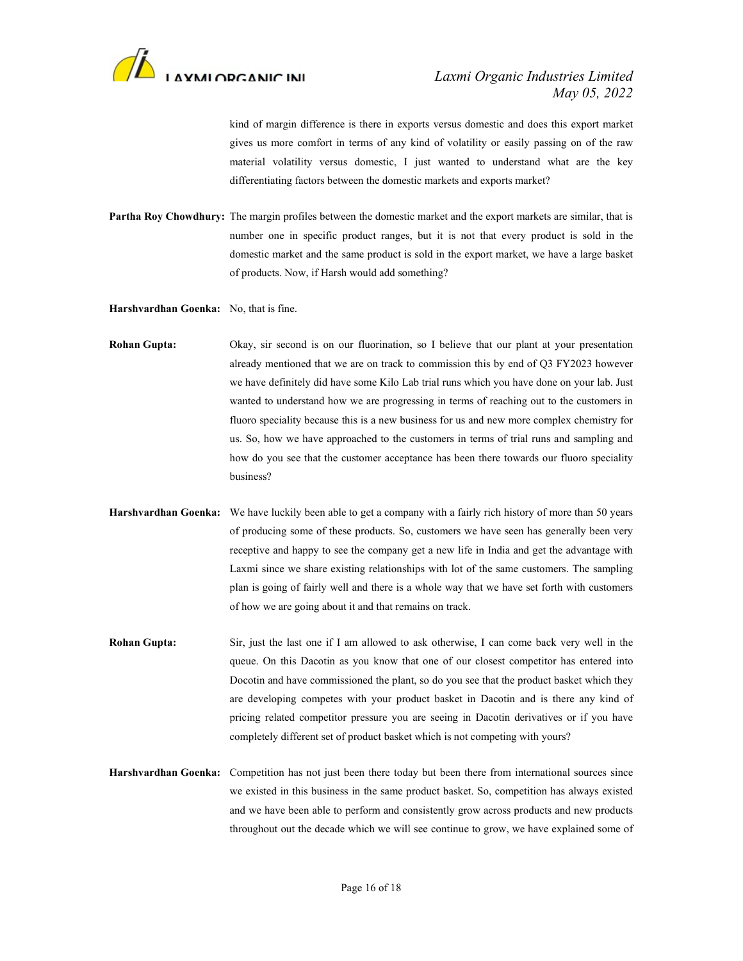

kind of margin difference is there in exports versus domestic and does this export market gives us more comfort in terms of any kind of volatility or easily passing on of the raw material volatility versus domestic, I just wanted to understand what are the key differentiating factors between the domestic markets and exports market?

Partha Roy Chowdhury: The margin profiles between the domestic market and the export markets are similar, that is number one in specific product ranges, but it is not that every product is sold in the domestic market and the same product is sold in the export market, we have a large basket of products. Now, if Harsh would add something?

Harshvardhan Goenka: No, that is fine.

- Rohan Gupta: Okay, sir second is on our fluorination, so I believe that our plant at your presentation already mentioned that we are on track to commission this by end of Q3 FY2023 however we have definitely did have some Kilo Lab trial runs which you have done on your lab. Just wanted to understand how we are progressing in terms of reaching out to the customers in fluoro speciality because this is a new business for us and new more complex chemistry for us. So, how we have approached to the customers in terms of trial runs and sampling and how do you see that the customer acceptance has been there towards our fluoro speciality business?
- Harshvardhan Goenka: We have luckily been able to get a company with a fairly rich history of more than 50 years of producing some of these products. So, customers we have seen has generally been very receptive and happy to see the company get a new life in India and get the advantage with Laxmi since we share existing relationships with lot of the same customers. The sampling plan is going of fairly well and there is a whole way that we have set forth with customers of how we are going about it and that remains on track.
- Rohan Gupta: Sir, just the last one if I am allowed to ask otherwise, I can come back very well in the queue. On this Dacotin as you know that one of our closest competitor has entered into Docotin and have commissioned the plant, so do you see that the product basket which they are developing competes with your product basket in Dacotin and is there any kind of pricing related competitor pressure you are seeing in Dacotin derivatives or if you have completely different set of product basket which is not competing with yours?
- Harshvardhan Goenka: Competition has not just been there today but been there from international sources since we existed in this business in the same product basket. So, competition has always existed and we have been able to perform and consistently grow across products and new products throughout out the decade which we will see continue to grow, we have explained some of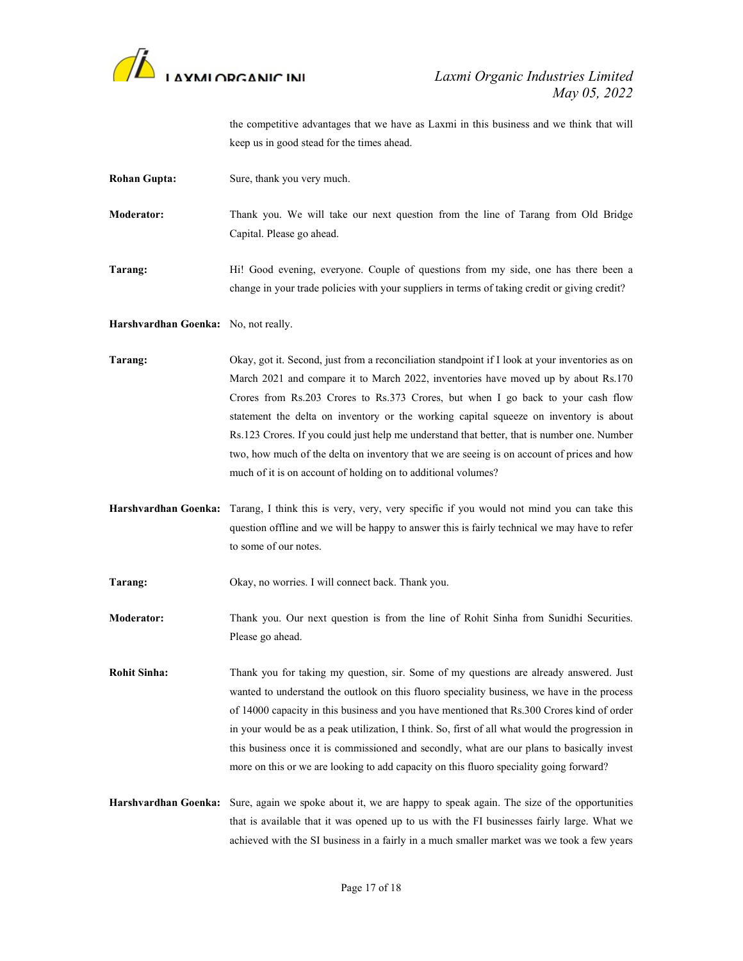

## May 05, 2022

the competitive advantages that we have as Laxmi in this business and we think that will keep us in good stead for the times ahead.

Rohan Gupta: Sure, thank you very much.

Moderator: Thank you. We will take our next question from the line of Tarang from Old Bridge Capital. Please go ahead.

Tarang: Hi! Good evening, everyone. Couple of questions from my side, one has there been a change in your trade policies with your suppliers in terms of taking credit or giving credit?

Harshvardhan Goenka: No, not really.

Tarang: Okay, got it. Second, just from a reconciliation standpoint if I look at your inventories as on March 2021 and compare it to March 2022, inventories have moved up by about Rs.170 Crores from Rs.203 Crores to Rs.373 Crores, but when I go back to your cash flow statement the delta on inventory or the working capital squeeze on inventory is about Rs.123 Crores. If you could just help me understand that better, that is number one. Number two, how much of the delta on inventory that we are seeing is on account of prices and how much of it is on account of holding on to additional volumes?

Harshvardhan Goenka: Tarang, I think this is very, very, very specific if you would not mind you can take this question offline and we will be happy to answer this is fairly technical we may have to refer to some of our notes.

Tarang: Okay, no worries. I will connect back. Thank you.

Moderator: Thank you. Our next question is from the line of Rohit Sinha from Sunidhi Securities. Please go ahead.

Rohit Sinha: Thank you for taking my question, sir. Some of my questions are already answered. Just wanted to understand the outlook on this fluoro speciality business, we have in the process of 14000 capacity in this business and you have mentioned that Rs.300 Crores kind of order in your would be as a peak utilization, I think. So, first of all what would the progression in this business once it is commissioned and secondly, what are our plans to basically invest more on this or we are looking to add capacity on this fluoro speciality going forward?

Harshvardhan Goenka: Sure, again we spoke about it, we are happy to speak again. The size of the opportunities that is available that it was opened up to us with the FI businesses fairly large. What we achieved with the SI business in a fairly in a much smaller market was we took a few years